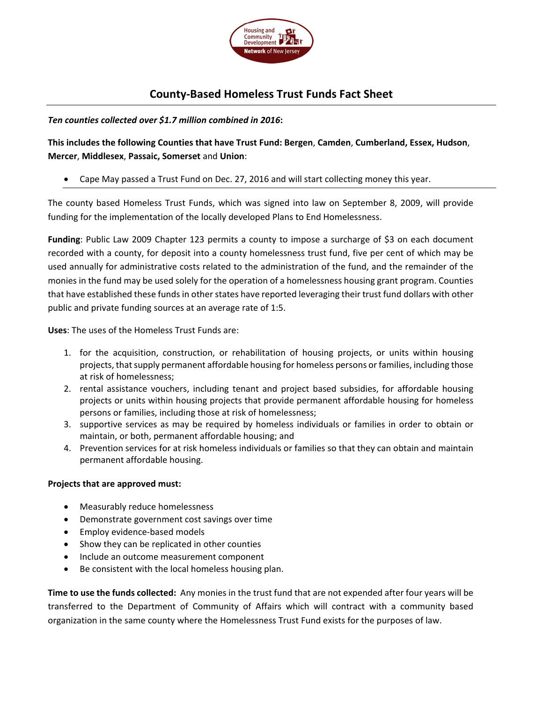

## **County-Based Homeless Trust Funds Fact Sheet**

## *Ten counties collected over \$1.7 million combined in 2016***:**

**This includes the following Counties that have Trust Fund: Bergen**, **Camden**, **Cumberland, Essex, Hudson**, **Mercer**, **Middlesex**, **Passaic, Somerset** and **Union**:

• Cape May passed a Trust Fund on Dec. 27, 2016 and will start collecting money this year.

The county based Homeless Trust Funds, which was signed into law on September 8, 2009, will provide funding for the implementation of the locally developed Plans to End Homelessness.

**Funding**: Public Law 2009 Chapter 123 permits a county to impose a surcharge of \$3 on each document recorded with a county, for deposit into a county homelessness trust fund, five per cent of which may be used annually for administrative costs related to the administration of the fund, and the remainder of the monies in the fund may be used solely for the operation of a homelessness housing grant program. Counties that have established these funds in other states have reported leveraging their trust fund dollars with other public and private funding sources at an average rate of 1:5.

**Uses**: The uses of the Homeless Trust Funds are:

- 1. for the acquisition, construction, or rehabilitation of housing projects, or units within housing projects, that supply permanent affordable housing for homeless persons or families, including those at risk of homelessness;
- 2. rental assistance vouchers, including tenant and project based subsidies, for affordable housing projects or units within housing projects that provide permanent affordable housing for homeless persons or families, including those at risk of homelessness;
- 3. supportive services as may be required by homeless individuals or families in order to obtain or maintain, or both, permanent affordable housing; and
- 4. Prevention services for at risk homeless individuals or families so that they can obtain and maintain permanent affordable housing.

## **Projects that are approved must:**

- Measurably reduce homelessness
- Demonstrate government cost savings over time
- Employ evidence-based models
- Show they can be replicated in other counties
- Include an outcome measurement component
- Be consistent with the local homeless housing plan.

**Time to use the funds collected:** Any monies in the trust fund that are not expended after four years will be transferred to the Department of Community of Affairs which will contract with a community based organization in the same county where the Homelessness Trust Fund exists for the purposes of law.